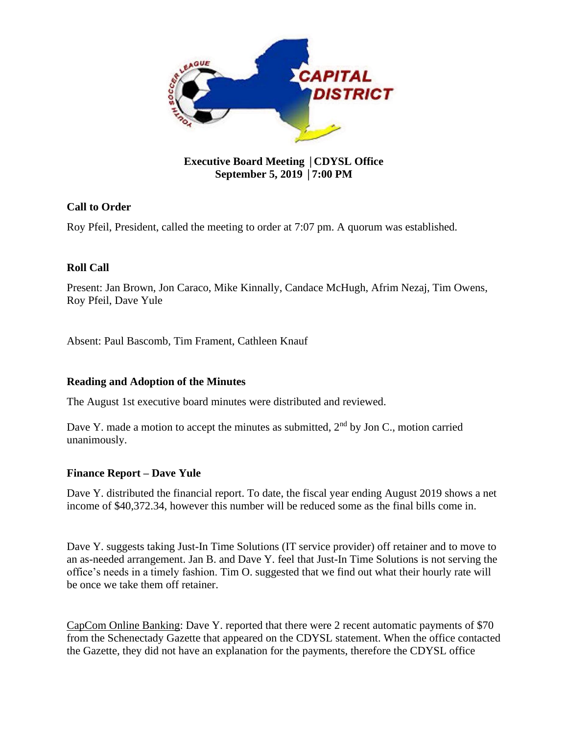

# **Executive Board Meeting** │**CDYSL Office September 5, 2019** │**7:00 PM**

# **Call to Order**

Roy Pfeil, President, called the meeting to order at 7:07 pm. A quorum was established.

## **Roll Call**

Present: Jan Brown, Jon Caraco, Mike Kinnally, Candace McHugh, Afrim Nezaj, Tim Owens, Roy Pfeil, Dave Yule

Absent: Paul Bascomb, Tim Frament, Cathleen Knauf

## **Reading and Adoption of the Minutes**

The August 1st executive board minutes were distributed and reviewed.

Dave Y. made a motion to accept the minutes as submitted,  $2<sup>nd</sup>$  by Jon C., motion carried unanimously.

## **Finance Report – Dave Yule**

Dave Y. distributed the financial report. To date, the fiscal year ending August 2019 shows a net income of \$40,372.34, however this number will be reduced some as the final bills come in.

Dave Y. suggests taking Just-In Time Solutions (IT service provider) off retainer and to move to an as-needed arrangement. Jan B. and Dave Y. feel that Just-In Time Solutions is not serving the office's needs in a timely fashion. Tim O. suggested that we find out what their hourly rate will be once we take them off retainer.

CapCom Online Banking: Dave Y. reported that there were 2 recent automatic payments of \$70 from the Schenectady Gazette that appeared on the CDYSL statement. When the office contacted the Gazette, they did not have an explanation for the payments, therefore the CDYSL office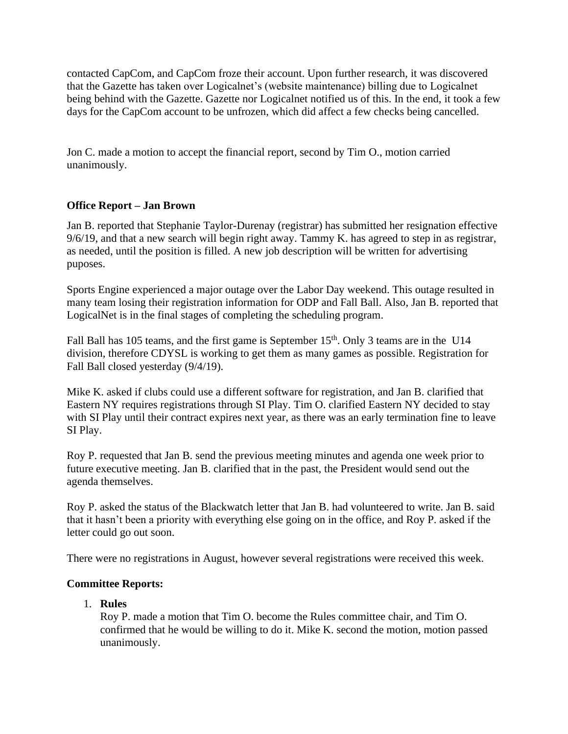contacted CapCom, and CapCom froze their account. Upon further research, it was discovered that the Gazette has taken over Logicalnet's (website maintenance) billing due to Logicalnet being behind with the Gazette. Gazette nor Logicalnet notified us of this. In the end, it took a few days for the CapCom account to be unfrozen, which did affect a few checks being cancelled.

Jon C. made a motion to accept the financial report, second by Tim O., motion carried unanimously.

## **Office Report – Jan Brown**

Jan B. reported that Stephanie Taylor-Durenay (registrar) has submitted her resignation effective 9/6/19, and that a new search will begin right away. Tammy K. has agreed to step in as registrar, as needed, until the position is filled. A new job description will be written for advertising puposes.

Sports Engine experienced a major outage over the Labor Day weekend. This outage resulted in many team losing their registration information for ODP and Fall Ball. Also, Jan B. reported that LogicalNet is in the final stages of completing the scheduling program.

Fall Ball has 105 teams, and the first game is September 15<sup>th</sup>. Only 3 teams are in the U14 division, therefore CDYSL is working to get them as many games as possible. Registration for Fall Ball closed yesterday (9/4/19).

Mike K. asked if clubs could use a different software for registration, and Jan B. clarified that Eastern NY requires registrations through SI Play. Tim O. clarified Eastern NY decided to stay with SI Play until their contract expires next year, as there was an early termination fine to leave SI Play.

Roy P. requested that Jan B. send the previous meeting minutes and agenda one week prior to future executive meeting. Jan B. clarified that in the past, the President would send out the agenda themselves.

Roy P. asked the status of the Blackwatch letter that Jan B. had volunteered to write. Jan B. said that it hasn't been a priority with everything else going on in the office, and Roy P. asked if the letter could go out soon.

There were no registrations in August, however several registrations were received this week.

## **Committee Reports:**

1. **Rules** 

Roy P. made a motion that Tim O. become the Rules committee chair, and Tim O. confirmed that he would be willing to do it. Mike K. second the motion, motion passed unanimously.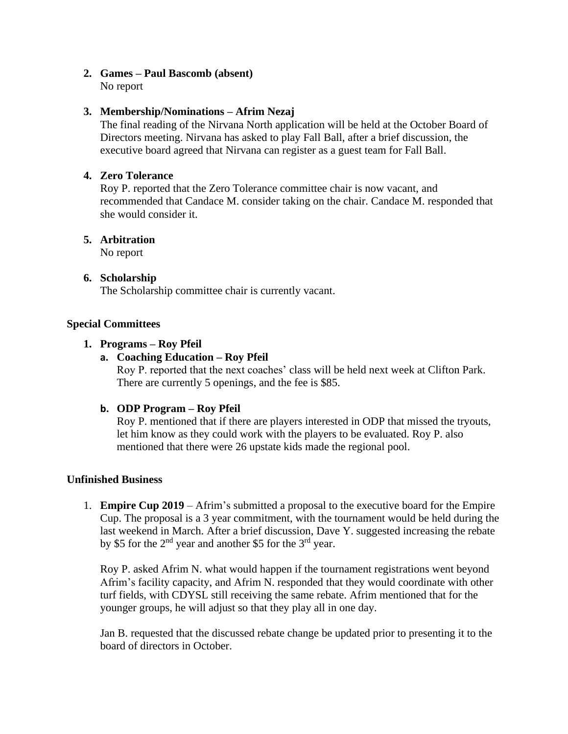# **2. Games – Paul Bascomb (absent)**

No report

# **3. Membership/Nominations – Afrim Nezaj**

The final reading of the Nirvana North application will be held at the October Board of Directors meeting. Nirvana has asked to play Fall Ball, after a brief discussion, the executive board agreed that Nirvana can register as a guest team for Fall Ball.

## **4. Zero Tolerance**

Roy P. reported that the Zero Tolerance committee chair is now vacant, and recommended that Candace M. consider taking on the chair. Candace M. responded that she would consider it.

## **5. Arbitration**

No report

## **6. Scholarship**

The Scholarship committee chair is currently vacant.

## **Special Committees**

## **1. Programs – Roy Pfeil**

# **a. Coaching Education – Roy Pfeil**

Roy P. reported that the next coaches' class will be held next week at Clifton Park. There are currently 5 openings, and the fee is \$85.

## **b. ODP Program – Roy Pfeil**

Roy P. mentioned that if there are players interested in ODP that missed the tryouts, let him know as they could work with the players to be evaluated. Roy P. also mentioned that there were 26 upstate kids made the regional pool.

## **Unfinished Business**

1. **Empire Cup 2019** – Afrim's submitted a proposal to the executive board for the Empire Cup. The proposal is a 3 year commitment, with the tournament would be held during the last weekend in March. After a brief discussion, Dave Y. suggested increasing the rebate by \$5 for the  $2<sup>nd</sup>$  year and another \$5 for the  $3<sup>rd</sup>$  year.

Roy P. asked Afrim N. what would happen if the tournament registrations went beyond Afrim's facility capacity, and Afrim N. responded that they would coordinate with other turf fields, with CDYSL still receiving the same rebate. Afrim mentioned that for the younger groups, he will adjust so that they play all in one day.

Jan B. requested that the discussed rebate change be updated prior to presenting it to the board of directors in October.